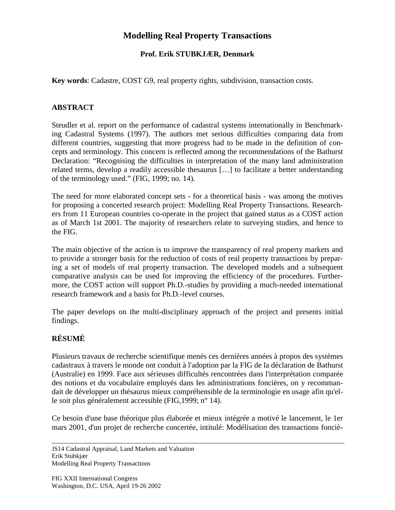# **Modelling Real Property Transactions**

#### **Prof. Erik STUBKJÆR, Denmark**

**Key words**: Cadastre, COST G9, real property rights, subdivision, transaction costs.

#### **ABSTRACT**

Steudler et al. report on the performance of cadastral systems internationally in Benchmarking Cadastral Systems (1997). The authors met serious difficulties comparing data from different countries, suggesting that more progress had to be made in the definition of concepts and terminology. This concern is reflected among the recommendations of the Bathurst Declaration: "Recognising the difficulties in interpretation of the many land administration related terms, develop a readily accessible thesaurus […] to facilitate a better understanding of the terminology used." (FIG, 1999; no. 14).

The need for more elaborated concept sets - for a theoretical basis - was among the motives for proposing a concerted research project: Modelling Real Property Transactions. Researchers from 11 European countries co-operate in the project that gained status as a COST action as of March 1st 2001. The majority of researchers relate to surveying studies, and hence to the FIG.

The main objective of the action is to improve the transparency of real property markets and to provide a stronger basis for the reduction of costs of real property transactions by preparing a set of models of real property transaction. The developed models and a subsequent comparative analysis can be used for improving the efficiency of the procedures. Furthermore, the COST action will support Ph.D.-studies by providing a much-needed international research framework and a basis for Ph.D.-level courses.

The paper develops on the multi-disciplinary approach of the project and presents initial findings.

## **RÉSUMÉ**

Plusieurs travaux de recherche scientifique menés ces dernières années à propos des systèmes cadastraux à travers le monde ont conduit à l'adoption par la FIG de la déclaration de Bathurst (Australie) en 1999. Face aux sérieuses difficultés rencontrées dans l'interprétation comparée des notions et du vocabulaire employés dans les administrations foncières, on y recommandait de développer un thésaurus mieux compréhensible de la terminologie en usage afin qu'elle soit plus généralement accessible (FIG,1999; n° 14).

Ce besoin d'une base théorique plus élaborée et mieux intégrée a motivé le lancement, le 1er mars 2001, d'un projet de recherche concertée, intitulé: Modélisation des transactions fonciè-

JS14 Cadastral Appraisal, Land Markets and Valuation Erik Stubkjær Modelling Real Property Transactions